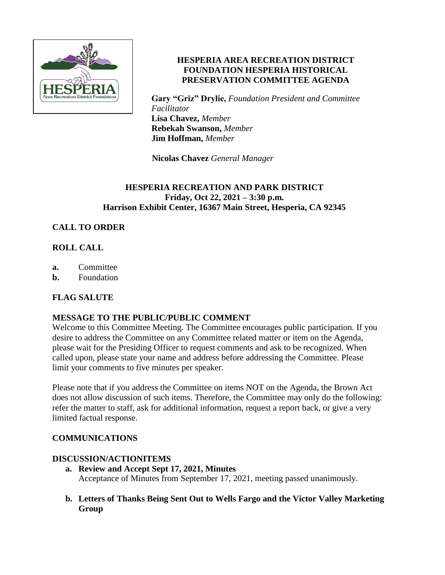

# **HESPERIA AREA RECREATION DISTRICT FOUNDATION HESPERIA HISTORICAL PRESERVATION COMMITTEE AGENDA**

**Gary "Griz" Drylie,** *Foundation President and Committee Facilitator* **Lisa Chavez,** *Member*  **Rebekah Swanson,** *Member* **Jim Hoffman,** *Member*

**Nicolas Chavez** *General Manager*

## **HESPERIA RECREATION AND PARK DISTRICT Friday, Oct 22, 2021 – 3:30 p.m. Harrison Exhibit Center, 16367 Main Street, Hesperia, CA 92345**

# **CALL TO ORDER**

# **ROLL CALL**

- **a.** Committee
- **b.** Foundation

# **FLAG SALUTE**

## **MESSAGE TO THE PUBLIC/PUBLIC COMMENT**

Welcome to this Committee Meeting. The Committee encourages public participation. If you desire to address the Committee on any Committee related matter or item on the Agenda, please wait for the Presiding Officer to request comments and ask to be recognized. When called upon, please state your name and address before addressing the Committee. Please limit your comments to five minutes per speaker.

Please note that if you address the Committee on items NOT on the Agenda, the Brown Act does not allow discussion of such items. Therefore, the Committee may only do the following: refer the matter to staff, ask for additional information, request a report back, or give a very limited factual response.

## **COMMUNICATIONS**

## **DISCUSSION/ACTIONITEMS**

- **a. Review and Accept Sept 17, 2021, Minutes** Acceptance of Minutes from September 17, 2021, meeting passed unanimously.
- **b. Letters of Thanks Being Sent Out to Wells Fargo and the Victor Valley Marketing Group**